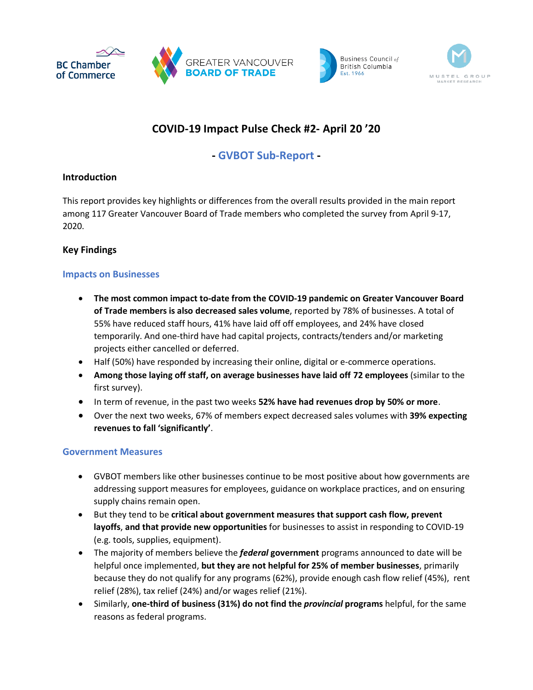





# **COVID-19 Impact Pulse Check #2- April 20 '20**

## **- GVBOT Sub-Report -**

## **Introduction**

This report provides key highlights or differences from the overall results provided in the main report among 117 Greater Vancouver Board of Trade members who completed the survey from April 9-17, 2020.

## **Key Findings**

## **Impacts on Businesses**

- **The most common impact to-date from the COVID-19 pandemic on Greater Vancouver Board of Trade members is also decreased sales volume**, reported by 78% of businesses. A total of 55% have reduced staff hours, 41% have laid off off employees, and 24% have closed temporarily. And one-third have had capital projects, contracts/tenders and/or marketing projects either cancelled or deferred.
- Half (50%) have responded by increasing their online, digital or e-commerce operations.
- **Among those laying off staff, on average businesses have laid off 72 employees** (similar to the first survey).
- In term of revenue, in the past two weeks **52% have had revenues drop by 50% or more**.
- Over the next two weeks, 67% of members expect decreased sales volumes with **39% expecting revenues to fall 'significantly'**.

## **Government Measures**

- GVBOT members like other businesses continue to be most positive about how governments are addressing support measures for employees, guidance on workplace practices, and on ensuring supply chains remain open.
- But they tend to be **critical about government measures that support cash flow, prevent layoffs**, **and that provide new opportunities** for businesses to assist in responding to COVID-19 (e.g. tools, supplies, equipment).
- The majority of members believe the *federal* **government** programs announced to date will be helpful once implemented, **but they are not helpful for 25% of member businesses**, primarily because they do not qualify for any programs (62%), provide enough cash flow relief (45%), rent relief (28%), tax relief (24%) and/or wages relief (21%).
- Similarly, **one-third of business (31%) do not find the** *provincial* **programs** helpful, for the same reasons as federal programs.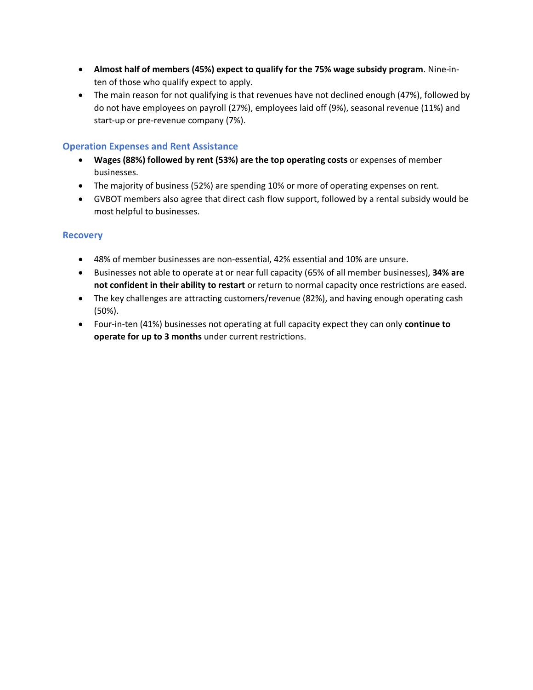- **Almost half of members (45%) expect to qualify for the 75% wage subsidy program**. Nine-inten of those who qualify expect to apply.
- The main reason for not qualifying is that revenues have not declined enough (47%), followed by do not have employees on payroll (27%), employees laid off (9%), seasonal revenue (11%) and start-up or pre-revenue company (7%).

### **Operation Expenses and Rent Assistance**

- **Wages (88%) followed by rent (53%) are the top operating costs** or expenses of member businesses.
- The majority of business (52%) are spending 10% or more of operating expenses on rent.
- GVBOT members also agree that direct cash flow support, followed by a rental subsidy would be most helpful to businesses.

#### **Recovery**

- 48% of member businesses are non-essential, 42% essential and 10% are unsure.
- Businesses not able to operate at or near full capacity (65% of all member businesses), **34% are not confident in their ability to restart** or return to normal capacity once restrictions are eased.
- The key challenges are attracting customers/revenue (82%), and having enough operating cash (50%).
- Four-in-ten (41%) businesses not operating at full capacity expect they can only **continue to operate for up to 3 months** under current restrictions.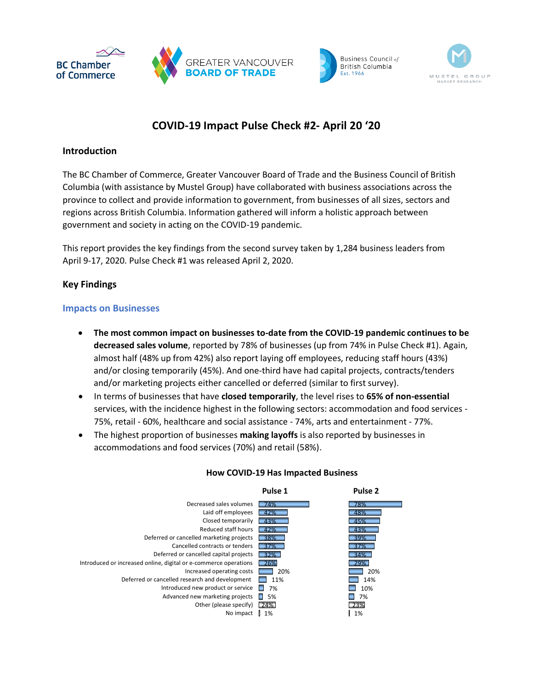





# **COVID-19 Impact Pulse Check #2- April 20 '20**

### **Introduction**

The BC Chamber of Commerce, Greater Vancouver Board of Trade and the Business Council of British Columbia (with assistance by Mustel Group) have collaborated with business associations across the province to collect and provide information to government, from businesses of all sizes, sectors and regions across British Columbia. Information gathered will inform a holistic approach between government and society in acting on the COVID-19 pandemic.

This report provides the key findings from the second survey taken by 1,284 business leaders from April 9-17, 2020. Pulse Check #1 was released April 2, 2020.

## **Key Findings**

#### **Impacts on Businesses**

- **The most common impact on businesses to-date from the COVID-19 pandemic continues to be decreased sales volume**, reported by 78% of businesses (up from 74% in Pulse Check #1). Again, almost half (48% up from 42%) also report laying off employees, reducing staff hours (43%) and/or closing temporarily (45%). And one-third have had capital projects, contracts/tenders and/or marketing projects either cancelled or deferred (similar to first survey).
- In terms of businesses that have **closed temporarily**, the level rises to **65% of non-essential** services, with the incidence highest in the following sectors: accommodation and food services - 75%, retail - 60%, healthcare and social assistance - 74%, arts and entertainment - 77%.
- The highest proportion of businesses **making layoffs** is also reported by businesses in accommodations and food services (70%) and retail (58%).



#### **How COVID-19 Has Impacted Business**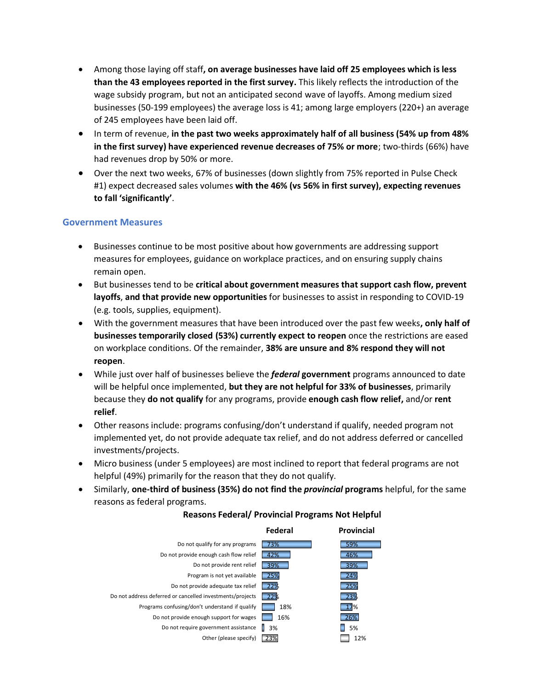- Among those laying off staff**, on average businesses have laid off 25 employees which is less than the 43 employees reported in the first survey.** This likely reflects the introduction of the wage subsidy program, but not an anticipated second wave of layoffs. Among medium sized businesses (50-199 employees) the average loss is 41; among large employers (220+) an average of 245 employees have been laid off.
- In term of revenue, **in the past two weeks approximately half of all business (54% up from 48% in the first survey) have experienced revenue decreases of 75% or more**; two-thirds (66%) have had revenues drop by 50% or more.
- Over the next two weeks, 67% of businesses (down slightly from 75% reported in Pulse Check #1) expect decreased sales volumes **with the 46% (vs 56% in first survey), expecting revenues to fall 'significantly'**.

### **Government Measures**

- Businesses continue to be most positive about how governments are addressing support measures for employees, guidance on workplace practices, and on ensuring supply chains remain open.
- But businesses tend to be **critical about government measures that support cash flow, prevent layoffs**, **and that provide new opportunities** for businesses to assist in responding to COVID-19 (e.g. tools, supplies, equipment).
- With the government measures that have been introduced over the past few weeks**, only half of businesses temporarily closed (53%) currently expect to reopen** once the restrictions are eased on workplace conditions. Of the remainder, **38% are unsure and 8% respond they will not reopen**.
- While just over half of businesses believe the *federal* **government** programs announced to date will be helpful once implemented, **but they are not helpful for 33% of businesses**, primarily because they **do not qualify** for any programs, provide **enough cash flow relief,** and/or **rent relief**.
- Other reasons include: programs confusing/don't understand if qualify, needed program not implemented yet, do not provide adequate tax relief, and do not address deferred or cancelled investments/projects.
- Micro business (under 5 employees) are most inclined to report that federal programs are not helpful (49%) primarily for the reason that they do not qualify.
- Similarly, **one-third of business (35%) do not find the** *provincial* **programs** helpful, for the same reasons as federal programs.



#### **Reasons Federal/ Provincial Programs Not Helpful**